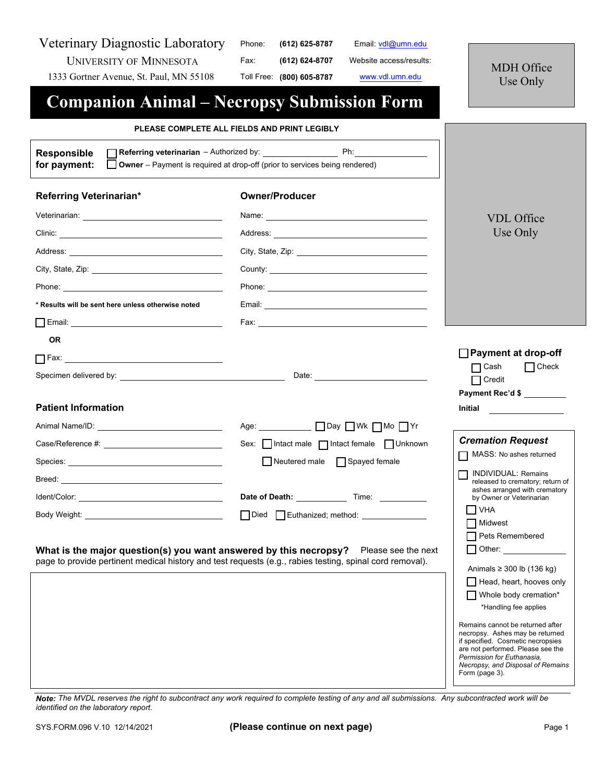| Veterinary Diagnostic Laboratory<br><b>UNIVERSITY OF MINNESOTA</b><br>1333 Gortner Avenue, St. Paul, MN 55108                                                                                                                  | Phone:<br>Email: vdl@umn.edu<br>(612) 625-8787<br>Fax:<br>(612) 624-8707<br>Website access/results:<br>Toll Free: (800) 605-8787<br>www.vdl.umn.edu                                                                                                                                                                     | MDH Office<br>Use Only                                                                                                                                                                                                                                                                                                                                                                                                                                                                                                                                                                                 |
|--------------------------------------------------------------------------------------------------------------------------------------------------------------------------------------------------------------------------------|-------------------------------------------------------------------------------------------------------------------------------------------------------------------------------------------------------------------------------------------------------------------------------------------------------------------------|--------------------------------------------------------------------------------------------------------------------------------------------------------------------------------------------------------------------------------------------------------------------------------------------------------------------------------------------------------------------------------------------------------------------------------------------------------------------------------------------------------------------------------------------------------------------------------------------------------|
|                                                                                                                                                                                                                                | <b>Companion Animal – Necropsy Submission Form</b>                                                                                                                                                                                                                                                                      |                                                                                                                                                                                                                                                                                                                                                                                                                                                                                                                                                                                                        |
|                                                                                                                                                                                                                                | PLEASE COMPLETE ALL FIELDS AND PRINT LEGIBLY                                                                                                                                                                                                                                                                            |                                                                                                                                                                                                                                                                                                                                                                                                                                                                                                                                                                                                        |
| <b>Responsible</b><br>for payment:                                                                                                                                                                                             | <b>Referring veterinarian</b> – Authorized by: The Phillip Phillip Phillip Phillip Phillip Phillip Phillip Phillip Phillip Phillip Phillip Phillip Phillip Phillip Phillip Phillip Phillip Phillip Phillip Phillip Phillip Phillip<br><b>Owner</b> – Payment is required at drop-off (prior to services being rendered) |                                                                                                                                                                                                                                                                                                                                                                                                                                                                                                                                                                                                        |
| Referring Veterinarian*                                                                                                                                                                                                        | <b>Owner/Producer</b>                                                                                                                                                                                                                                                                                                   |                                                                                                                                                                                                                                                                                                                                                                                                                                                                                                                                                                                                        |
|                                                                                                                                                                                                                                |                                                                                                                                                                                                                                                                                                                         | <b>VDL</b> Office                                                                                                                                                                                                                                                                                                                                                                                                                                                                                                                                                                                      |
|                                                                                                                                                                                                                                |                                                                                                                                                                                                                                                                                                                         | Use Only                                                                                                                                                                                                                                                                                                                                                                                                                                                                                                                                                                                               |
|                                                                                                                                                                                                                                |                                                                                                                                                                                                                                                                                                                         |                                                                                                                                                                                                                                                                                                                                                                                                                                                                                                                                                                                                        |
|                                                                                                                                                                                                                                |                                                                                                                                                                                                                                                                                                                         |                                                                                                                                                                                                                                                                                                                                                                                                                                                                                                                                                                                                        |
| Phone: the contract of the contract of the contract of the contract of the contract of the contract of the contract of the contract of the contract of the contract of the contract of the contract of the contract of the con |                                                                                                                                                                                                                                                                                                                         |                                                                                                                                                                                                                                                                                                                                                                                                                                                                                                                                                                                                        |
| * Results will be sent here unless otherwise noted                                                                                                                                                                             |                                                                                                                                                                                                                                                                                                                         |                                                                                                                                                                                                                                                                                                                                                                                                                                                                                                                                                                                                        |
|                                                                                                                                                                                                                                |                                                                                                                                                                                                                                                                                                                         |                                                                                                                                                                                                                                                                                                                                                                                                                                                                                                                                                                                                        |
| <b>OR</b>                                                                                                                                                                                                                      |                                                                                                                                                                                                                                                                                                                         |                                                                                                                                                                                                                                                                                                                                                                                                                                                                                                                                                                                                        |
|                                                                                                                                                                                                                                |                                                                                                                                                                                                                                                                                                                         | □ Payment at drop-off                                                                                                                                                                                                                                                                                                                                                                                                                                                                                                                                                                                  |
|                                                                                                                                                                                                                                |                                                                                                                                                                                                                                                                                                                         | $\Box$ Check<br>$\Box$ Cash<br>$\Box$ Credit                                                                                                                                                                                                                                                                                                                                                                                                                                                                                                                                                           |
|                                                                                                                                                                                                                                |                                                                                                                                                                                                                                                                                                                         | Payment Rec'd \$                                                                                                                                                                                                                                                                                                                                                                                                                                                                                                                                                                                       |
| <b>Patient Information</b>                                                                                                                                                                                                     |                                                                                                                                                                                                                                                                                                                         | <b>Initial</b>                                                                                                                                                                                                                                                                                                                                                                                                                                                                                                                                                                                         |
| Animal Name/ID: ___________________________________                                                                                                                                                                            | Age: ___________ □ Day □ Wk □ Mo □ Yr                                                                                                                                                                                                                                                                                   |                                                                                                                                                                                                                                                                                                                                                                                                                                                                                                                                                                                                        |
|                                                                                                                                                                                                                                | Sex: Intact male   Intact female   Unknown                                                                                                                                                                                                                                                                              | <b>Cremation Request</b>                                                                                                                                                                                                                                                                                                                                                                                                                                                                                                                                                                               |
| Species: with the contract of the contract of the contract of the contract of the contract of the contract of the contract of the contract of the contract of the contract of the contract of the contract of the contract of  | Neutered male Spayed female                                                                                                                                                                                                                                                                                             | MASS: No ashes returned                                                                                                                                                                                                                                                                                                                                                                                                                                                                                                                                                                                |
|                                                                                                                                                                                                                                |                                                                                                                                                                                                                                                                                                                         | <b>INDIVIDUAL: Remains</b><br>released to crematory; return of                                                                                                                                                                                                                                                                                                                                                                                                                                                                                                                                         |
|                                                                                                                                                                                                                                |                                                                                                                                                                                                                                                                                                                         | ashes arranged with crematory<br>by Owner or Veterinarian                                                                                                                                                                                                                                                                                                                                                                                                                                                                                                                                              |
| Body Weight: New York District Product of the United States and District Product District Oracle District Oracle District Oracle District Oracle District Oracle District Oracle District Oracle District Oracle District Orac | Died Euthanized; method: _______________                                                                                                                                                                                                                                                                                | <b>VHA</b><br>Midwest                                                                                                                                                                                                                                                                                                                                                                                                                                                                                                                                                                                  |
| page to provide pertinent medical history and test requests (e.g., rabies testing, spinal cord removal).                                                                                                                       | What is the major question(s) you want answered by this necropsy? Please see the next                                                                                                                                                                                                                                   | Pets Remembered<br>Other: Website the Company of the Company of the Company of the Company of the Company of the Company of the Company of the Company of the Company of the Company of the Company of the Company of the Company of the Company<br>Animals $\geq$ 300 lb (136 kg)<br>Head, heart, hooves only<br>Whole body cremation*<br>*Handling fee applies<br>Remains cannot be returned after<br>necropsy. Ashes may be returned<br>if specified. Cosmetic necropsies<br>are not performed. Please see the<br>Permission for Euthanasia.<br>Necropsy, and Disposal of Remains<br>Form (page 3). |

*Note: The MVDL reserves the right to subcontract any work required to complete testing of any and all submissions. Any subcontracted work will be identified on the laboratory report.*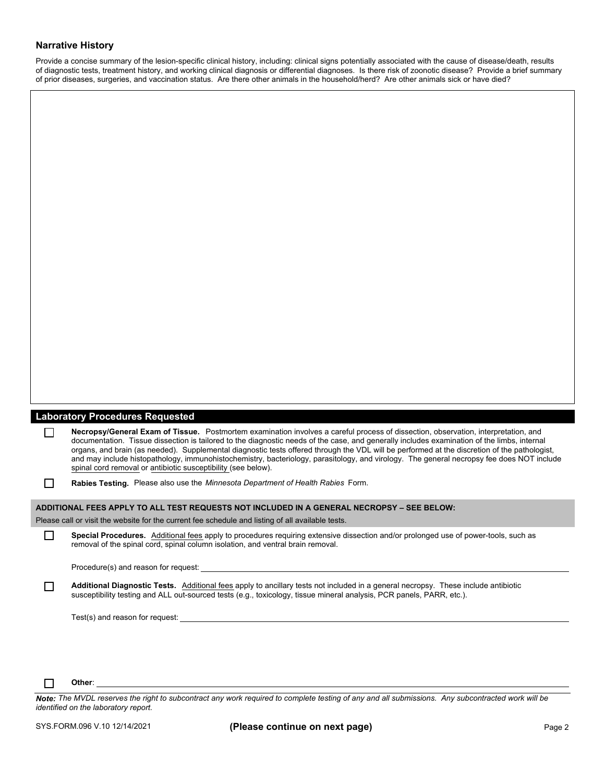## **Narrative History**

Provide a concise summary of the lesion-specific clinical history, including: clinical signs potentially associated with the cause of disease/death, results of diagnostic tests, treatment history, and working clinical diagnosis or differential diagnoses. Is there risk of zoonotic disease? Provide a brief summary of prior diseases, surgeries, and vaccination status. Are there other animals in the household/herd? Are other animals sick or have died?

| $\Box$ | <b>Laboratory Procedures Requested</b><br>Necropsy/General Exam of Tissue. Postmortem examination involves a careful process of dissection, observation, interpretation, and<br>documentation. Tissue dissection is tailored to the diagnostic needs of the case, and generally includes examination of the limbs, internal<br>organs, and brain (as needed). Supplemental diagnostic tests offered through the VDL will be performed at the discretion of the pathologist,<br>and may include histopathology, immunohistochemistry, bacteriology, parasitology, and virology. The general necropsy fee does NOT include |
|--------|--------------------------------------------------------------------------------------------------------------------------------------------------------------------------------------------------------------------------------------------------------------------------------------------------------------------------------------------------------------------------------------------------------------------------------------------------------------------------------------------------------------------------------------------------------------------------------------------------------------------------|
| $\Box$ | spinal cord removal or antibiotic susceptibility (see below).<br>Rabies Testing. Please also use the Minnesota Department of Health Rabies Form.                                                                                                                                                                                                                                                                                                                                                                                                                                                                         |
|        | ADDITIONAL FEES APPLY TO ALL TEST REQUESTS NOT INCLUDED IN A GENERAL NECROPSY - SEE BELOW:                                                                                                                                                                                                                                                                                                                                                                                                                                                                                                                               |
|        | Please call or visit the website for the current fee schedule and listing of all available tests.                                                                                                                                                                                                                                                                                                                                                                                                                                                                                                                        |
|        | Special Procedures. Additional fees apply to procedures requiring extensive dissection and/or prolonged use of power-tools, such as<br>removal of the spinal cord, spinal column isolation, and ventral brain removal.                                                                                                                                                                                                                                                                                                                                                                                                   |
|        |                                                                                                                                                                                                                                                                                                                                                                                                                                                                                                                                                                                                                          |
|        | Additional Diagnostic Tests. Additional fees apply to ancillary tests not included in a general necropsy. These include antibiotic<br>susceptibility testing and ALL out-sourced tests (e.g., toxicology, tissue mineral analysis, PCR panels, PARR, etc.).                                                                                                                                                                                                                                                                                                                                                              |
|        |                                                                                                                                                                                                                                                                                                                                                                                                                                                                                                                                                                                                                          |
|        |                                                                                                                                                                                                                                                                                                                                                                                                                                                                                                                                                                                                                          |
|        |                                                                                                                                                                                                                                                                                                                                                                                                                                                                                                                                                                                                                          |

#### $\Box$ **Other**:

*Note: The MVDL reserves the right to subcontract any work required to complete testing of any and all submissions. Any subcontracted work will be identified on the laboratory report.*